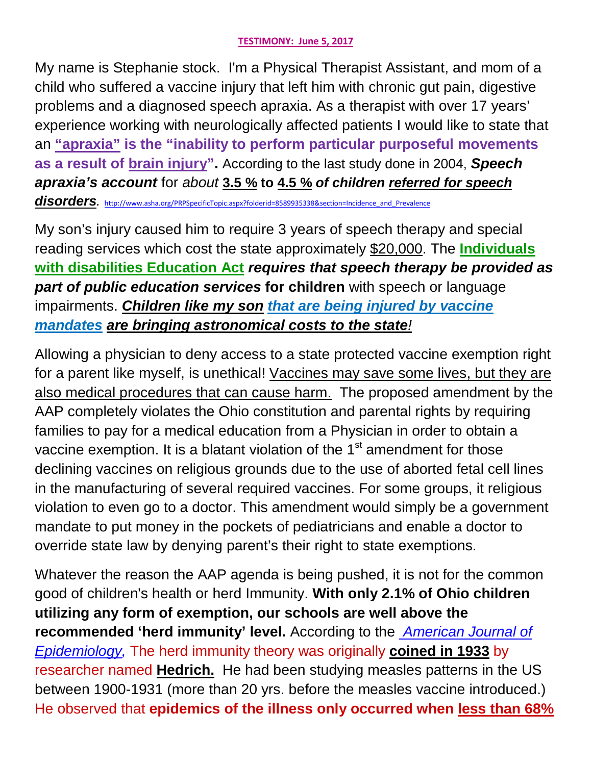## **TESTIMONY: June 5, 2017**

My name is Stephanie stock. I'm a Physical Therapist Assistant, and mom of a child who suffered a vaccine injury that left him with chronic gut pain, digestive problems and a diagnosed speech apraxia. As a therapist with over 17 years' experience working with neurologically affected patients I would like to state that an **"apraxia" is the "inability to perform particular purposeful movements as a result of brain injury".** According to the last study done in 2004, *Speech apraxia's account* for *about* **3.5 % to 4.5 %** *of children referred for speech*  disorders. [http://www.asha.org/PRPSpecificTopic.aspx?folderid=8589935338&section=Incidence\\_and\\_Prevalence](http://www.asha.org/PRPSpecificTopic.aspx?folderid=8589935338§ion=Incidence_and_Prevalence)

My son's injury caused him to require 3 years of speech therapy and special reading services which cost the state approximately \$20,000. The **Individuals with disabilities Education Act** *requires that speech therapy be provided as part of public education services* **for children** with speech or language impairments. *Children like my son that are being injured by vaccine mandates are bringing astronomical costs to the state!*

Allowing a physician to deny access to a state protected vaccine exemption right for a parent like myself, is unethical! Vaccines may save some lives, but they are also medical procedures that can cause harm. The proposed amendment by the AAP completely violates the Ohio constitution and parental rights by requiring families to pay for a medical education from a Physician in order to obtain a vaccine exemption. It is a blatant violation of the  $1<sup>st</sup>$  amendment for those declining vaccines on religious grounds due to the use of aborted fetal cell lines in the manufacturing of several required vaccines. For some groups, it religious violation to even go to a doctor. This amendment would simply be a government mandate to put money in the pockets of pediatricians and enable a doctor to override state law by denying parent's their right to state exemptions.

Whatever the reason the AAP agenda is being pushed, it is not for the common good of children's health or herd Immunity. **With only 2.1% of Ohio children utilizing any form of exemption, our schools are well above the recommended 'herd immunity' level.** According to the *American Journal of Epidemiology,* The herd immunity theory was originally **coined in 1933** by researcher named **Hedrich.** He had been studying measles patterns in the US between 1900-1931 (more than 20 yrs. before the measles vaccine introduced.) He observed that **epidemics of the illness only occurred when less than 68%**